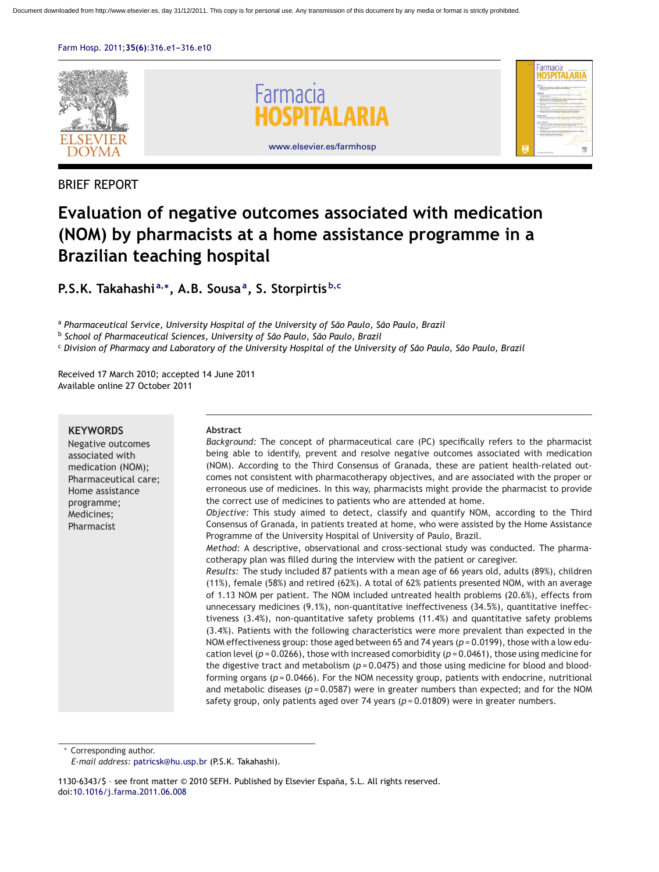

# BRIEF REPORT

# **Evaluation of negative outcomes associated with medication (NOM) by pharmacists at a home assistance programme in a Brazilian teaching hospital**

**P.S.K. Takahashi <sup>a</sup>,∗, A.B. Sousaa, S. Storpirtis <sup>b</sup>,<sup>c</sup>**

<sup>a</sup> *Pharmaceutical Service, University Hospital of the University of São Paulo, São Paulo, Brazil*

<sup>b</sup> *School of Pharmaceutical Sciences, University of São Paulo, São Paulo, Brazil*

<sup>c</sup> *Division of Pharmacy and Laboratory of the University Hospital of the University of São Paulo, São Paulo, Brazil*

Received 17 March 2010; accepted 14 June 2011 Available online 27 October 2011

# **KEYWORDS**

Negative outcomes associated with medication (NOM); Pharmaceutical care; Home assistance programme; Medicines; Pharmacist

#### **Abstract**

*Background:* The concept of pharmaceutical care (PC) specifically refers to the pharmacist being able to identify, prevent and resolve negative outcomes associated with medication (NOM). According to the Third Consensus of Granada, these are patient health-related outcomes not consistent with pharmacotherapy objectives, and are associated with the proper or erroneous use of medicines. In this way, pharmacists might provide the pharmacist to provide the correct use of medicines to patients who are attended at home.

*Objective:* This study aimed to detect, classify and quantify NOM, according to the Third Consensus of Granada, in patients treated at home, who were assisted by the Home Assistance Programme of the University Hospital of University of Paulo, Brazil.

*Method:* A descriptive, observational and cross-sectional study was conducted. The pharmacotherapy plan was filled during the interview with the patient or caregiver.

*Results:* The study included 87 patients with a mean age of 66 years old, adults (89%), children (11%), female (58%) and retired (62%). A total of 62% patients presented NOM, with an average of 1.13 NOM per patient. The NOM included untreated health problems (20.6%), effects from unnecessary medicines (9.1%), non-quantitative ineffectiveness (34.5%), quantitative ineffectiveness (3.4%), non-quantitative safety problems (11.4%) and quantitative safety problems (3.4%). Patients with the following characteristics were more prevalent than expected in the NOM effectiveness group: those aged between 65 and 74 years (*p* = 0.0199), those with a low education level (*p* = 0.0266), those with increased comorbidity (*p* = 0.0461), those using medicine for the digestive tract and metabolism ( $p = 0.0475$ ) and those using medicine for blood and bloodforming organs (*p* = 0.0466). For the NOM necessity group, patients with endocrine, nutritional and metabolic diseases ( $p = 0.0587$ ) were in greater numbers than expected; and for the NOM safety group, only patients aged over 74 years ( $p = 0.01809$ ) were in greater numbers.

∗ Corresponding author.

1130-6343/\$ – see front matter © 2010 SEFH. Published by Elsevier España, S.L. All rights reserved. doi[:10.1016/j.farma.2011.06.008](dx.doi.org/10.1016/j.farma.2011.06.008)

*E-mail address:* [patricsk@hu.usp.br](mailto:patricsk@hu.usp.br) (P.S.K. Takahashi).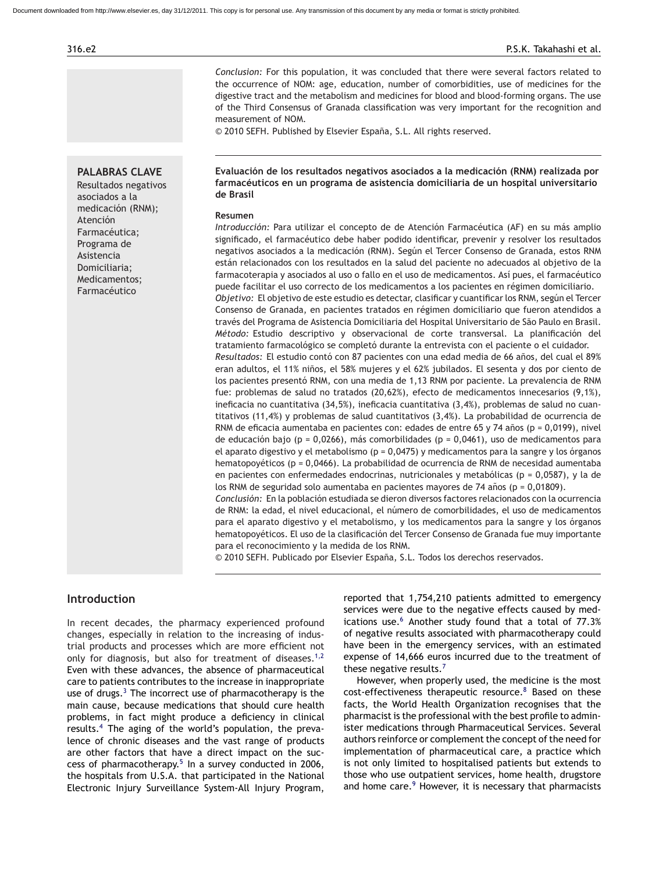*Conclusion:* For this population, it was concluded that there were several factors related to the occurrence of NOM: age, education, number of comorbidities, use of medicines for the digestive tract and the metabolism and medicines for blood and blood-forming organs. The use of the Third Consensus of Granada classification was very important for the recognition and measurement of NOM.

© 2010 SEFH. Published by Elsevier España, S.L. All rights reserved.

# **PALABRAS CLAVE**

Resultados negativos asociados a la medicación (RNM); Atención Farmacéutica; Programa de Asistencia Domiciliaria; Medicamentos; Farmacéutico

# **Evaluación de los resultados negativos asociados a la medicación (RNM) realizada por farmacéuticos en un programa de asistencia domiciliaria de un hospital universitario de Brasil**

#### **Resumen**

*Introducción:* Para utilizar el concepto de de Atención Farmacéutica (AF) en su más amplio significado, el farmacéutico debe haber podido identificar, prevenir y resolver los resultados negativos asociados a la medicación (RNM). Según el Tercer Consenso de Granada, estos RNM están relacionados con los resultados en la salud del paciente no adecuados al objetivo de la farmacoterapia y asociados al uso o fallo en el uso de medicamentos. Así pues, el farmacéutico puede facilitar el uso correcto de los medicamentos a los pacientes en régimen domiciliario. *Objetivo:* El objetivo de este estudio es detectar, clasificar y cuantificar los RNM, según el Tercer Consenso de Granada, en pacientes tratados en régimen domiciliario que fueron atendidos a través del Programa de Asistencia Domiciliaria del Hospital Universitario de São Paulo en Brasil. *Método:* Estudio descriptivo y observacional de corte transversal. La planificación del tratamiento farmacológico se completó durante la entrevista con el paciente o el cuidador. Resultados: El estudio contó con 87 pacientes con una edad media de 66 años, del cual el 89% eran adultos, el 11% niños, el 58% mujeres y el 62% jubilados. El sesenta y dos por ciento de los pacientes presentó RNM, con una media de 1,13 RNM por paciente. La prevalencia de RNM fue: problemas de salud no tratados (20,62%), efecto de medicamentos innecesarios (9,1%), ineficacia no cuantitativa (34,5%), ineficacia cuantitativa (3,4%), problemas de salud no cuantitativos (11,4%) y problemas de salud cuantitativos (3,4%). La probabilidad de ocurrencia de RNM de eficacia aumentaba en pacientes con: edades de entre 65 y 74 años (p =  $0.0199$ ), nivel de educación bajo (p = 0,0266), más comorbilidades (p = 0,0461), uso de medicamentos para el aparato digestivo y el metabolismo (p = 0,0475) y medicamentos para la sangre y los órganos hematopoyéticos (p = 0,0466). La probabilidad de ocurrencia de RNM de necesidad aumentaba en pacientes con enfermedades endocrinas, nutricionales y metabólicas (p = 0,0587), y la de los RNM de seguridad solo aumentaba en pacientes mayores de 74 años ( $p = 0.01809$ ). *Conclusión:* En la población estudiada se dieron diversos factores relacionados con la ocurrencia

de RNM: la edad, el nivel educacional, el número de comorbilidades, el uso de medicamentos para el aparato digestivo y el metabolismo, y los medicamentos para la sangre y los órganos hematopoyéticos. El uso de la clasificación del Tercer Consenso de Granada fue muy importante para el reconocimiento y la medida de los RNM.

© 2010 SEFH. Publicado por Elsevier España, S.L. Todos los derechos reservados.

# **Introduction**

In recent decades, the pharmacy experienced profound changes, especially in relation to the increasing of industrial products and processes which are more efficient not only for diagnosis, but also for treatment of diseases.<sup>[1,2](#page-8-0)</sup> Even with these advances, the absence of pharmaceutical care to patients contributes to the increase in inappropriate use of drugs. $3$  The incorrect use of pharmacotherapy is the main cause, because medications that should cure health problems, in fact might produce a deficiency in clinical results.[4](#page-8-0) The aging of the world's population, the prevalence of chronic diseases and the vast range of products are other factors that have a direct impact on the success of pharmacotherapy. $5$  In a survey conducted in 2006, the hospitals from U.S.A. that participated in the National Electronic Injury Surveillance System-All Injury Program,

reported that 1,754,210 patients admitted to emergency services were due to the negative effects caused by med-ications use.<sup>[6](#page-8-0)</sup> Another study found that a total of 77.3% of negative results associated with pharmacotherapy could have been in the emergency services, with an estimated expense of 14,666 euros incurred due to the treatment of these negative results.<sup>[7](#page-8-0)</sup>

However, when properly used, the medicine is the most  $cost\text{-}effectiveness$  therapeutic resource. $8$  Based on these facts, the World Health Organization recognises that the pharmacist is the professional with the best profile to administer medications through Pharmaceutical Services. Several authors reinforce or complement the concept of the need for implementation of pharmaceutical care, a practice which is not only limited to hospitalised patients but extends to those who use outpatient services, home health, drugstore and home care.<sup>[9](#page-9-0)</sup> However, it is necessary that pharmacists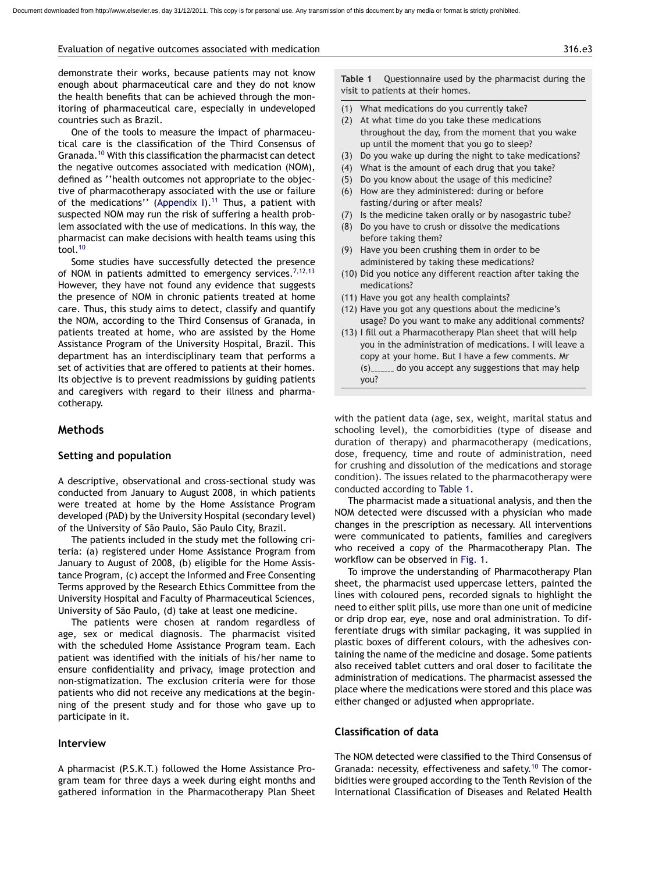#### Evaluation of negative outcomes associated with medication 316.e3

demonstrate their works, because patients may not know enough about pharmaceutical care and they do not know the health benefits that can be achieved through the monitoring of pharmaceutical care, especially in undeveloped countries such as Brazil.

One of the tools to measure the impact of pharmaceutical care is the classification of the Third Consensus of Granada.[10](#page-9-0) With this classification the pharmacist can detect the negative outcomes associated with medication (NOM), defined as ''health outcomes not appropriate to the objective of pharmacotherapy associated with the use or failure of the medications" ([Appendix I\).](#page-8-0)<sup>[11](#page-9-0)</sup> Thus, a patient with suspected NOM may run the risk of suffering a health problem associated with the use of medications. In this way, the pharmacist can make decisions with health teams using this tool.[10](#page-9-0)

Some studies have successfully detected the presence of NOM in patients admitted to emergency services.<sup>[7,12,13](#page-8-0)</sup> However, they have not found any evidence that suggests the presence of NOM in chronic patients treated at home care. Thus, this study aims to detect, classify and quantify the NOM, according to the Third Consensus of Granada, in patients treated at home, who are assisted by the Home Assistance Program of the University Hospital, Brazil. This department has an interdisciplinary team that performs a set of activities that are offered to patients at their homes. Its objective is to prevent readmissions by guiding patients and caregivers with regard to their illness and pharmacotherapy.

#### **Methods**

#### **Setting and population**

A descriptive, observational and cross-sectional study was conducted from January to August 2008, in which patients were treated at home by the Home Assistance Program developed (PAD) by the University Hospital (secondary level) of the University of São Paulo, São Paulo City, Brazil.

The patients included in the study met the following criteria: (a) registered under Home Assistance Program from January to August of 2008, (b) eligible for the Home Assistance Program, (c) accept the Informed and Free Consenting Terms approved by the Research Ethics Committee from the University Hospital and Faculty of Pharmaceutical Sciences, University of São Paulo, (d) take at least one medicine.

The patients were chosen at random regardless of age, sex or medical diagnosis. The pharmacist visited with the scheduled Home Assistance Program team. Each patient was identified with the initials of his/her name to ensure confidentiality and privacy, image protection and non-stigmatization. The exclusion criteria were for those patients who did not receive any medications at the beginning of the present study and for those who gave up to participate in it.

#### **Interview**

A pharmacist (P.S.K.T.) followed the Home Assistance Program team for three days a week during eight months and gathered information in the Pharmacotherapy Plan Sheet **Table 1** Questionnaire used by the pharmacist during the visit to patients at their homes.

- (1) What medications do you currently take?
- (2) At what time do you take these medications throughout the day, from the moment that you wake up until the moment that you go to sleep?
- (3) Do you wake up during the night to take medications?
- (4) What is the amount of each drug that you take?
- (5) Do you know about the usage of this medicine?
- (6) How are they administered: during or before fasting/during or after meals?
- (7) Is the medicine taken orally or by nasogastric tube?
- (8) Do you have to crush or dissolve the medications before taking them?
- (9) Have you been crushing them in order to be administered by taking these medications?
- (10) Did you notice any different reaction after taking the medications?
- (11) Have you got any health complaints?
- (12) Have you got any questions about the medicine's usage? Do you want to make any additional comments?
- (13) I fill out a Pharmacotherapy Plan sheet that will help you in the administration of medications. I will leave a copy at your home. But I have a few comments. Mr  $(s)$   $\ldots$  do you accept any suggestions that may help you?

with the patient data (age, sex, weight, marital status and schooling level), the comorbidities (type of disease and duration of therapy) and pharmacotherapy (medications, dose, frequency, time and route of administration, need for crushing and dissolution of the medications and storage condition). The issues related to the pharmacotherapy were conducted according to Table 1.

The pharmacist made a situational analysis, and then the NOM detected were discussed with a physician who made changes in the prescription as necessary. All interventions were communicated to patients, families and caregivers who received a copy of the Pharmacotherapy Plan. The workflow can be observed in [Fig. 1.](#page-3-0)

To improve the understanding of Pharmacotherapy Plan sheet, the pharmacist used uppercase letters, painted the lines with coloured pens, recorded signals to highlight the need to either split pills, use more than one unit of medicine or drip drop ear, eye, nose and oral administration. To differentiate drugs with similar packaging, it was supplied in plastic boxes of different colours, with the adhesives containing the name of the medicine and dosage. Some patients also received tablet cutters and oral doser to facilitate the administration of medications. The pharmacist assessed the place where the medications were stored and this place was either changed or adjusted when appropriate.

#### **Classification of data**

The NOM detected were classified to the Third Consensus of Granada: necessity, effectiveness and safety.<sup>[10](#page-9-0)</sup> The comorbidities were grouped according to the Tenth Revision of the International Classification of Diseases and Related Health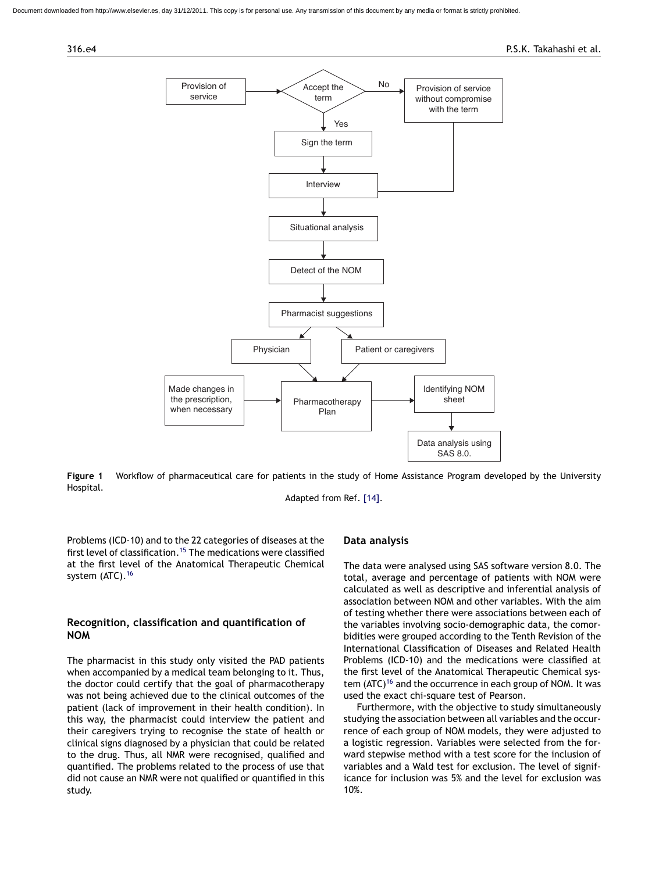<span id="page-3-0"></span>ded from http://www.elsevier.es, day 31/12/2011. This copy is for personal use. Any transmission of this document by any media or format is strictly prohibited





**Figure 1** Workflow of pharmaceutical care for patients in the study of Home Assistance Program developed by the University Hospital.

Adapted from Ref. [\[14\].](#page-9-0)

Problems (ICD-10) and to the 22 categories of diseases at the first level of classification.<sup>[15](#page-9-0)</sup> The medications were classified at the first level of the Anatomical Therapeutic Chemical system (ATC).<sup>[16](#page-9-0)</sup>

# **Recognition, classification and quantification of NOM**

The pharmacist in this study only visited the PAD patients when accompanied by a medical team belonging to it. Thus, the doctor could certify that the goal of pharmacotherapy was not being achieved due to the clinical outcomes of the patient (lack of improvement in their health condition). In this way, the pharmacist could interview the patient and their caregivers trying to recognise the state of health or clinical signs diagnosed by a physician that could be related to the drug. Thus, all NMR were recognised, qualified and quantified. The problems related to the process of use that did not cause an NMR were not qualified or quantified in this study.

# **Data analysis**

The data were analysed using SAS software version 8.0. The total, average and percentage of patients with NOM were calculated as well as descriptive and inferential analysis of association between NOM and other variables. With the aim of testing whether there were associations between each of the variables involving socio-demographic data, the comorbidities were grouped according to the Tenth Revision of the International Classification of Diseases and Related Health Problems (ICD-10) and the medications were classified at the first level of the Anatomical Therapeutic Chemical system  $(ATC)^{16}$  $(ATC)^{16}$  $(ATC)^{16}$  and the occurrence in each group of NOM. It was used the exact chi-square test of Pearson.

Furthermore, with the objective to study simultaneously studying the association between all variables and the occurrence of each group of NOM models, they were adjusted to a logistic regression. Variables were selected from the forward stepwise method with a test score for the inclusion of variables and a Wald test for exclusion. The level of significance for inclusion was 5% and the level for exclusion was 10%.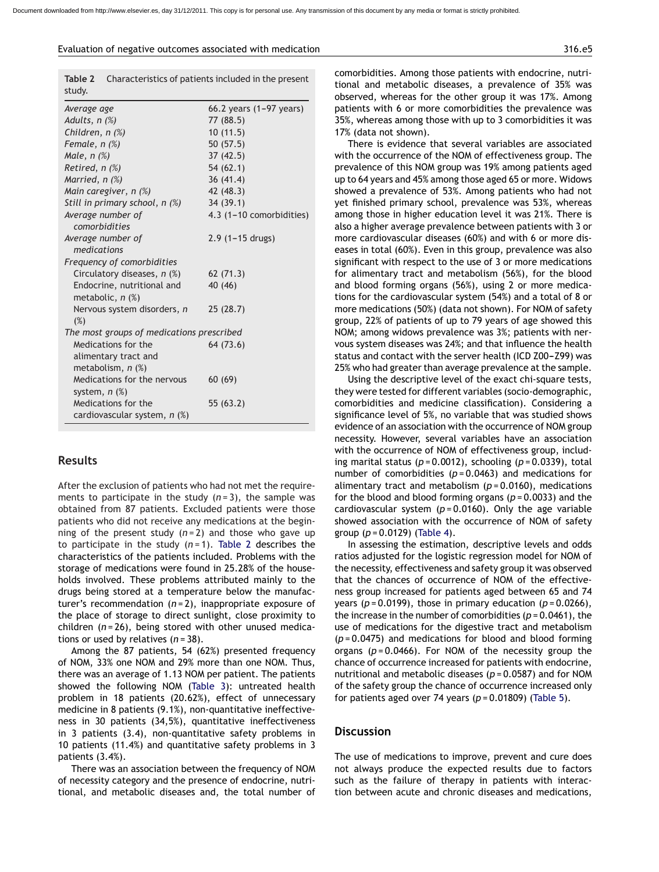**Table 2** Characteristics of patients included in the present

| study.                                           | character iscres or pacients included in the present |
|--------------------------------------------------|------------------------------------------------------|
| Average age                                      | 66.2 years (1-97 years)                              |
| Adults, $n$ $(\%)$                               | 77 (88.5)                                            |
| Children, $n$ $(\%)$                             | 10(11.5)                                             |
| Female, $n$ $%$                                  | 50(57.5)                                             |
| Male, $n$ $(\%)$                                 | 37(42.5)                                             |
| Retired, $n$ $(\%)$                              | 54(62.1)                                             |
| Married, n (%)                                   | 36(41.4)                                             |
| Main caregiver, $n$ $(\%)$                       | 42 (48.3)                                            |
| Still in primary school, n (%)                   | 34 (39.1)                                            |
| Average number of                                | 4.3 (1-10 comorbidities)                             |
| comorbidities                                    |                                                      |
| Average number of<br>medications                 | $2.9$ (1-15 drugs)                                   |
|                                                  |                                                      |
| Frequency of comorbidities                       |                                                      |
| Circulatory diseases, n (%)                      | 62(71.3)                                             |
| Endocrine, nutritional and<br>metabolic, $n$ $%$ | 40 (46)                                              |
| Nervous system disorders, n<br>(%)               | 25(28.7)                                             |
| The most groups of medications prescribed        |                                                      |
| Medications for the                              | 64 (73.6)                                            |
| alimentary tract and                             |                                                      |
| metabolism, $n$ $(\%)$                           |                                                      |
| Medications for the nervous                      | 60(69)                                               |
| system, $n$ $%$                                  |                                                      |
| Medications for the                              | 55 (63.2)                                            |
| cardiovascular system, n (%)                     |                                                      |

# **Results**

After the exclusion of patients who had not met the requirements to participate in the study (*n* = 3), the sample was obtained from 87 patients. Excluded patients were those patients who did not receive any medications at the beginning of the present study (*n* = 2) and those who gave up to participate in the study (*n* = 1). Table 2 describes the characteristics of the patients included. Problems with the storage of medications were found in 25.28% of the households involved. These problems attributed mainly to the drugs being stored at a temperature below the manufacturer's recommendation (*n* = 2), inappropriate exposure of the place of storage to direct sunlight, close proximity to children (*n* = 26), being stored with other unused medications or used by relatives (*n* = 38).

Among the 87 patients, 54 (62%) presented frequency of NOM, 33% one NOM and 29% more than one NOM. Thus, there was an average of 1.13 NOM per patient. The patients showed the following NOM ([Table 3\)](#page-5-0): untreated health problem in 18 patients (20.62%), effect of unnecessary medicine in 8 patients (9.1%), non-quantitative ineffectiveness in 30 patients (34,5%), quantitative ineffectiveness in 3 patients (3.4), non-quantitative safety problems in 10 patients (11.4%) and quantitative safety problems in 3 patients (3.4%).

There was an association between the frequency of NOM of necessity category and the presence of endocrine, nutritional, and metabolic diseases and, the total number of

comorbidities. Among those patients with endocrine, nutritional and metabolic diseases, a prevalence of 35% was observed, whereas for the other group it was 17%. Among patients with 6 or more comorbidities the prevalence was 35%, whereas among those with up to 3 comorbidities it was 17% (data not shown).

There is evidence that several variables are associated with the occurrence of the NOM of effectiveness group. The prevalence of this NOM group was 19% among patients aged up to 64 years and 45% among those aged 65 or more. Widows showed a prevalence of 53%. Among patients who had not yet finished primary school, prevalence was 53%, whereas among those in higher education level it was 21%. There is also a higher average prevalence between patients with 3 or more cardiovascular diseases (60%) and with 6 or more diseases in total (60%). Even in this group, prevalence was also significant with respect to the use of 3 or more medications for alimentary tract and metabolism (56%), for the blood and blood forming organs (56%), using 2 or more medications for the cardiovascular system (54%) and a total of 8 or more medications (50%) (data not shown). For NOM of safety group, 22% of patients of up to 79 years of age showed this NOM; among widows prevalence was 3%; patients with nervous system diseases was 24%; and that influence the health status and contact with the server health (ICD Z00-Z99) was 25% who had greater than average prevalence at the sample.

Using the descriptive level of the exact chi-square tests, they were tested for different variables (socio-demographic, comorbidities and medicine classification). Considering a significance level of 5%, no variable that was studied shows evidence of an association with the occurrence of NOM group necessity. However, several variables have an association with the occurrence of NOM of effectiveness group, including marital status (*p* = 0.0012), schooling (*p* = 0.0339), total number of comorbidities (*p* = 0.0463) and medications for alimentary tract and metabolism (*p* = 0.0160), medications for the blood and blood forming organs (*p* = 0.0033) and the cardiovascular system  $(p = 0.0160)$ . Only the age variable showed association with the occurrence of NOM of safety group (*p* = 0.0129) ([Table 4\).](#page-5-0)

In assessing the estimation, descriptive levels and odds ratios adjusted for the logistic regression model for NOM of the necessity, effectiveness and safety group it was observed that the chances of occurrence of NOM of the effectiveness group increased for patients aged between 65 and 74 years (*p* = 0.0199), those in primary education (*p* = 0.0266), the increase in the number of comorbidities (*p* = 0.0461), the use of medications for the digestive tract and metabolism (*p* = 0.0475) and medications for blood and blood forming organs (*p* = 0.0466). For NOM of the necessity group the chance of occurrence increased for patients with endocrine, nutritional and metabolic diseases (*p* = 0.0587) and for NOM of the safety group the chance of occurrence increased only for patients aged over 74 years (*p* = 0.01809) [\(Table 5\).](#page-6-0)

# **Discussion**

The use of medications to improve, prevent and cure does not always produce the expected results due to factors such as the failure of therapy in patients with interaction between acute and chronic diseases and medications,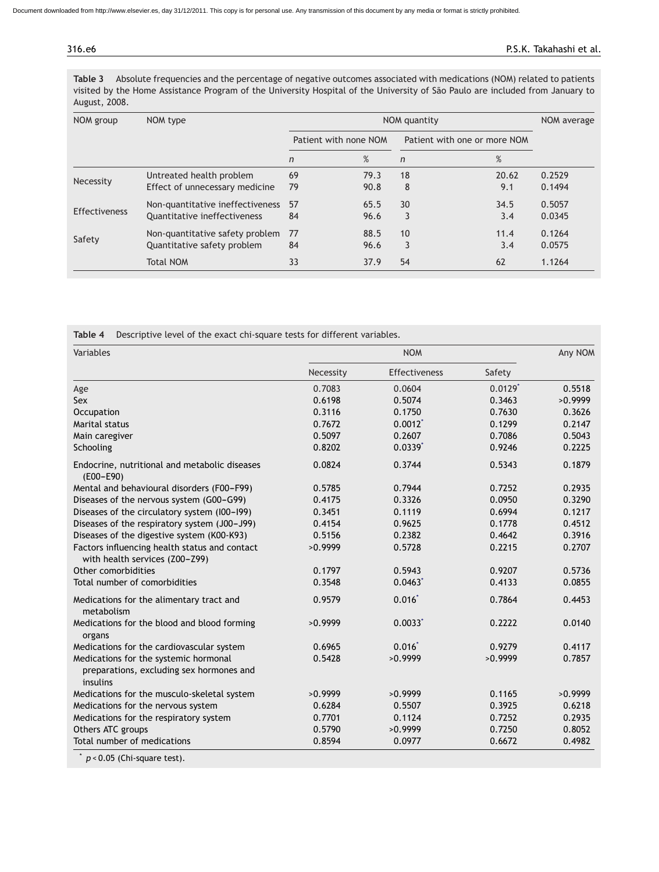<span id="page-5-0"></span>

**Table 3** Absolute frequencies and the percentage of negative outcomes associated with medications (NOM) related to patients visited by the Home Assistance Program of the University Hospital of the University of São Paulo are included from January to August, 2008.

| NOM group            | NOM type                                                         |                       | NOM average  |                              |              |                  |
|----------------------|------------------------------------------------------------------|-----------------------|--------------|------------------------------|--------------|------------------|
|                      |                                                                  | Patient with none NOM |              | Patient with one or more NOM |              |                  |
|                      |                                                                  | $\mathsf{n}$          | %            | $\mathsf{n}$                 | %            |                  |
| Necessity            | Untreated health problem<br>Effect of unnecessary medicine       | 69<br>79              | 79.3<br>90.8 | 18<br>8                      | 20.62<br>9.1 | 0.2529<br>0.1494 |
| <b>Effectiveness</b> | Non-quantitative ineffectiveness<br>Quantitative ineffectiveness | 57<br>84              | 65.5<br>96.6 | 30<br>3                      | 34.5<br>3.4  | 0.5057<br>0.0345 |
| Safety               | Non-quantitative safety problem<br>Quantitative safety problem   | 77<br>84              | 88.5<br>96.6 | 10<br>3                      | 11.4<br>3.4  | 0.1264<br>0.0575 |
|                      | Total NOM                                                        | 33                    | 37.9         | 54                           | 62           | 1.1264           |

**Table 4** Descriptive level of the exact chi-square tests for different variables.

| Variables                                                                                     |           | Any NOM       |                       |         |
|-----------------------------------------------------------------------------------------------|-----------|---------------|-----------------------|---------|
|                                                                                               | Necessity | Effectiveness | Safety                |         |
| Age                                                                                           | 0.7083    | 0.0604        | $0.0129$ <sup>*</sup> | 0.5518  |
| Sex                                                                                           | 0.6198    | 0.5074        | 0.3463                | >0.9999 |
| Occupation                                                                                    | 0.3116    | 0.1750        | 0.7630                | 0.3626  |
| Marital status                                                                                | 0.7672    | $0.0012$ *    | 0.1299                | 0.2147  |
| Main caregiver                                                                                | 0.5097    | 0.2607        | 0.7086                | 0.5043  |
| Schooling                                                                                     | 0.8202    | $0.0339*$     | 0.9246                | 0.2225  |
| Endocrine, nutritional and metabolic diseases<br>$(EOO - E90)$                                | 0.0824    | 0.3744        | 0.5343                | 0.1879  |
| Mental and behavioural disorders (F00-F99)                                                    | 0.5785    | 0.7944        | 0.7252                | 0.2935  |
| Diseases of the nervous system (G00-G99)                                                      | 0.4175    | 0.3326        | 0.0950                | 0.3290  |
| Diseases of the circulatory system (I00-I99)                                                  | 0.3451    | 0.1119        | 0.6994                | 0.1217  |
| Diseases of the respiratory system (J00-J99)                                                  | 0.4154    | 0.9625        | 0.1778                | 0.4512  |
| Diseases of the digestive system (K00-K93)                                                    | 0.5156    | 0.2382        | 0.4642                | 0.3916  |
| Factors influencing health status and contact<br>with health services (Z00-Z99)               | >0.9999   | 0.5728        | 0.2215                | 0.2707  |
| Other comorbidities                                                                           | 0.1797    | 0.5943        | 0.9207                | 0.5736  |
| Total number of comorbidities                                                                 | 0.3548    | 0.0463        | 0.4133                | 0.0855  |
| Medications for the alimentary tract and<br>metabolism                                        | 0.9579    | $0.016*$      | 0.7864                | 0.4453  |
| Medications for the blood and blood forming<br>organs                                         | >0.9999   | $0.0033*$     | 0.2222                | 0.0140  |
| Medications for the cardiovascular system                                                     | 0.6965    | 0.016         | 0.9279                | 0.4117  |
| Medications for the systemic hormonal<br>preparations, excluding sex hormones and<br>insulins | 0.5428    | >0.9999       | >0.9999               | 0.7857  |
| Medications for the musculo-skeletal system                                                   | >0.9999   | >0.9999       | 0.1165                | >0.9999 |
| Medications for the nervous system                                                            | 0.6284    | 0.5507        | 0.3925                | 0.6218  |
| Medications for the respiratory system                                                        | 0.7701    | 0.1124        | 0.7252                | 0.2935  |
| Others ATC groups                                                                             | 0.5790    | >0.9999       | 0.7250                | 0.8052  |
| Total number of medications                                                                   | 0.8594    | 0.0977        | 0.6672                | 0.4982  |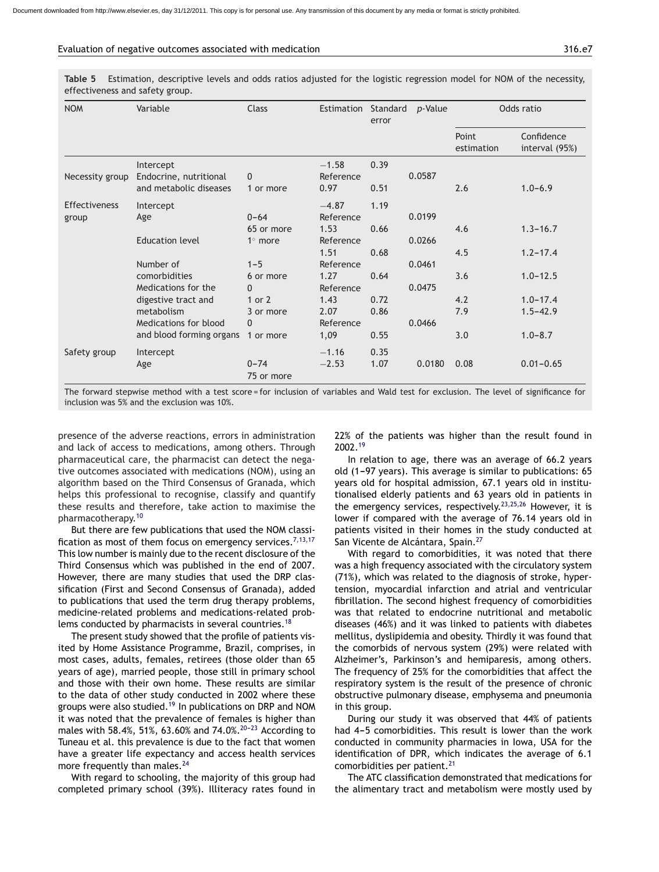#### <span id="page-6-0"></span>Evaluation of negative outcomes associated with medication 316.e7

**Table 5** Estimation, descriptive levels and odds ratios adjusted for the logistic regression model for NOM of the necessity, effectiveness and safety group.

| <b>NOM</b>           | Variable                 | Class                  | Estimation Standard | error | p-Value | Odds ratio          |                              |
|----------------------|--------------------------|------------------------|---------------------|-------|---------|---------------------|------------------------------|
|                      |                          |                        |                     |       |         | Point<br>estimation | Confidence<br>interval (95%) |
|                      | Intercept                |                        | $-1.58$             | 0.39  |         |                     |                              |
| Necessity group      | Endocrine, nutritional   | $\mathbf{0}$           | Reference           |       | 0.0587  |                     |                              |
|                      | and metabolic diseases   | 1 or more              | 0.97                | 0.51  |         | 2.6                 | $1.0 - 6.9$                  |
| <b>Effectiveness</b> | Intercept                |                        | $-4.87$             | 1.19  |         |                     |                              |
| group                | Age                      | $0 - 64$               | Reference           |       | 0.0199  |                     |                              |
|                      |                          | 65 or more             | 1.53                | 0.66  |         | 4.6                 | $1.3 - 16.7$                 |
|                      | <b>Education level</b>   | $1^\circ$ more         | Reference           |       | 0.0266  |                     |                              |
|                      |                          |                        | 1.51                | 0.68  |         | 4.5                 | $1.2 - 17.4$                 |
|                      | Number of                | $1 - 5$                | Reference           |       | 0.0461  |                     |                              |
|                      | comorbidities            | 6 or more              | 1.27                | 0.64  |         | 3.6                 | $1.0 - 12.5$                 |
|                      | Medications for the      | $\Omega$               | Reference           |       | 0.0475  |                     |                              |
|                      | digestive tract and      | 1 or 2                 | 1.43                | 0.72  |         | 4.2                 | $1.0 - 17.4$                 |
|                      | metabolism               | 3 or more              | 2.07                | 0.86  |         | 7.9                 | $1.5 - 42.9$                 |
|                      | Medications for blood    | $\Omega$               | Reference           |       | 0.0466  |                     |                              |
|                      | and blood forming organs | 1 or more              | 1,09                | 0.55  |         | 3.0                 | $1.0 - 8.7$                  |
| Safety group         | Intercept                |                        | $-1.16$             | 0.35  |         |                     |                              |
|                      | Age                      | $0 - 74$<br>75 or more | $-2.53$             | 1.07  | 0.0180  | 0.08                | $0.01 - 0.65$                |

The forward stepwise method with a test score = for inclusion of variables and Wald test for exclusion. The level of significance for inclusion was 5% and the exclusion was 10%.

presence of the adverse reactions, errors in administration and lack of access to medications, among others. Through pharmaceutical care, the pharmacist can detect the negative outcomes associated with medications (NOM), using an algorithm based on the Third Consensus of Granada, which helps this professional to recognise, classify and quantify these results and therefore, take action to maximise the pharmacotherapy.[10](#page-9-0)

But there are few publications that used the NOM classi-fication as most of them focus on emergency services.<sup>[7,13,17](#page-8-0)</sup> This low number is mainly due to the recent disclosure of the Third Consensus which was published in the end of 2007. However, there are many studies that used the DRP classification (First and Second Consensus of Granada), added to publications that used the term drug therapy problems, medicine-related problems and medications-related prob-lems conducted by pharmacists in several countries.<sup>[18](#page-9-0)</sup>

The present study showed that the profile of patients visited by Home Assistance Programme, Brazil, comprises, in most cases, adults, females, retirees (those older than 65 years of age), married people, those still in primary school and those with their own home. These results are similar to the data of other study conducted in 2002 where these groups were also studied.[19](#page-9-0) In publications on DRP and NOM it was noted that the prevalence of females is higher than males with 58.4%, 51%, 63.60% and 74.0%.<sup>20-23</sup> According to Tuneau et al. this prevalence is due to the fact that women have a greater life expectancy and access health services more frequently than males. $^{24}$  $^{24}$  $^{24}$ 

With regard to schooling, the majority of this group had completed primary school (39%). Illiteracy rates found in 22% of the patients was higher than the result found in 2002.[19](#page-9-0)

In relation to age, there was an average of 66.2 years old (1-97 years). This average is similar to publications: 65 years old for hospital admission, 67.1 years old in institutionalised elderly patients and 63 years old in patients in the emergency services, respectively.<sup>[23,25,26](#page-9-0)</sup> However, it is lower if compared with the average of 76.14 years old in patients visited in their homes in the study conducted at San Vicente de Alcántara, Spain.<sup>[27](#page-9-0)</sup>

With regard to comorbidities, it was noted that there was a high frequency associated with the circulatory system (71%), which was related to the diagnosis of stroke, hypertension, myocardial infarction and atrial and ventricular fibrillation. The second highest frequency of comorbidities was that related to endocrine nutritional and metabolic diseases (46%) and it was linked to patients with diabetes mellitus, dyslipidemia and obesity. Thirdly it was found that the comorbids of nervous system (29%) were related with Alzheimer's, Parkinson's and hemiparesis, among others. The frequency of 25% for the comorbidities that affect the respiratory system is the result of the presence of chronic obstructive pulmonary disease, emphysema and pneumonia in this group.

During our study it was observed that 44% of patients had 4-5 comorbidities. This result is lower than the work conducted in community pharmacies in Iowa, USA for the identification of DPR, which indicates the average of 6.1 comorbidities per patient.<sup>[21](#page-9-0)</sup>

The ATC classification demonstrated that medications for the alimentary tract and metabolism were mostly used by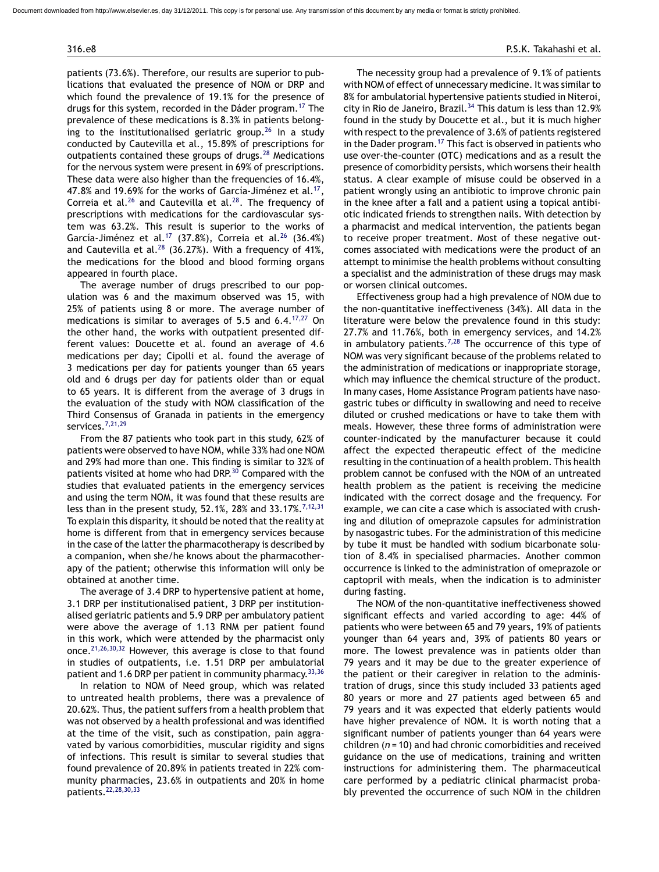patients (73.6%). Therefore, our results are superior to publications that evaluated the presence of NOM or DRP and which found the prevalence of 19.1% for the presence of drugs for this system, recorded in the Dáder program.[17](#page-9-0) The prevalence of these medications is 8.3% in patients belong-ing to the institutionalised geriatric group.<sup>[26](#page-9-0)</sup> In a study conducted by Cautevilla et al., 15.89% of prescriptions for outpatients contained these groups of drugs.<sup>[28](#page-9-0)</sup> Medications for the nervous system were present in 69% of prescriptions. These data were also higher than the frequencies of 16.4%, 47.8% and 19.69% for the works of García-Jiménez et al.<sup>17</sup> Correia et al.<sup>[26](#page-9-0)</sup> and Cautevilla et al.<sup>28</sup>. The frequency of prescriptions with medications for the cardiovascular system was 63.2%. This result is superior to the works of García-Jiménez et al.[17](#page-9-0) (37.8%), Correia et al.[26](#page-9-0) (36.4%) and Cautevilla et al.<sup>[28](#page-9-0)</sup> (36.27%). With a frequency of 41%, the medications for the blood and blood forming organs appeared in fourth place.

The average number of drugs prescribed to our population was 6 and the maximum observed was 15, with 25% of patients using 8 or more. The average number of medications is similar to averages of 5.5 and 6.4.<sup>[17,27](#page-9-0)</sup> On the other hand, the works with outpatient presented different values: Doucette et al. found an average of 4.6 medications per day; Cipolli et al. found the average of 3 medications per day for patients younger than 65 years old and 6 drugs per day for patients older than or equal to 65 years. It is different from the average of 3 drugs in the evaluation of the study with NOM classification of the Third Consensus of Granada in patients in the emergency services.[7,21,29](#page-8-0)

From the 87 patients who took part in this study, 62% of patients were observed to have NOM, while 33% had one NOM and 29% had more than one. This finding is similar to 32% of patients visited at home who had DRP.<sup>[30](#page-9-0)</sup> Compared with the studies that evaluated patients in the emergency services and using the term NOM, it was found that these results are less than in the present study, 52.1%, 28% and 33.17%.<sup>[7,12,31](#page-8-0)</sup> To explain this disparity, it should be noted that the reality at home is different from that in emergency services because in the case of the latter the pharmacotherapy is described by a companion, when she/he knows about the pharmacotherapy of the patient; otherwise this information will only be obtained at another time.

The average of 3.4 DRP to hypertensive patient at home, 3.1 DRP per institutionalised patient, 3 DRP per institutionalised geriatric patients and 5.9 DRP per ambulatory patient were above the average of 1.13 RNM per patient found in this work, which were attended by the pharmacist only once.[21,26,30,32](#page-9-0) However, this average is close to that found in studies of outpatients, i.e. 1.51 DRP per ambulatorial patient and 1.6 DRP per patient in community pharmacy. [33,36](#page-9-0)

In relation to NOM of Need group, which was related to untreated health problems, there was a prevalence of 20.62%. Thus, the patient suffers from a health problem that was not observed by a health professional and was identified at the time of the visit, such as constipation, pain aggravated by various comorbidities, muscular rigidity and signs of infections. This result is similar to several studies that found prevalence of 20.89% in patients treated in 22% community pharmacies, 23.6% in outpatients and 20% in home patients.[22,28,30,33](#page-9-0)

The necessity group had a prevalence of 9.1% of patients with NOM of effect of unnecessary medicine. It was similar to 8% for ambulatorial hypertensive patients studied in Niteroi, city in Rio de Janeiro, Brazil.<sup>[34](#page-9-0)</sup> This datum is less than 12.9% found in the study by Doucette et al., but it is much higher with respect to the prevalence of 3.6% of patients registered in the Dader program.<sup>[17](#page-9-0)</sup> This fact is observed in patients who use over-the-counter (OTC) medications and as a result the presence of comorbidity persists, which worsens their health status. A clear example of misuse could be observed in a patient wrongly using an antibiotic to improve chronic pain in the knee after a fall and a patient using a topical antibiotic indicated friends to strengthen nails. With detection by a pharmacist and medical intervention, the patients began to receive proper treatment. Most of these negative outcomes associated with medications were the product of an attempt to minimise the health problems without consulting a specialist and the administration of these drugs may mask or worsen clinical outcomes.

Effectiveness group had a high prevalence of NOM due to the non-quantitative ineffectiveness (34%). All data in the literature were below the prevalence found in this study: 27.7% and 11.76%, both in emergency services, and 14.2% in ambulatory patients.<sup>[7,28](#page-8-0)</sup> The occurrence of this type of NOM was very significant because of the problems related to the administration of medications or inappropriate storage, which may influence the chemical structure of the product. In many cases, Home Assistance Program patients have nasogastric tubes or difficulty in swallowing and need to receive diluted or crushed medications or have to take them with meals. However, these three forms of administration were counter-indicated by the manufacturer because it could affect the expected therapeutic effect of the medicine resulting in the continuation of a health problem. This health problem cannot be confused with the NOM of an untreated health problem as the patient is receiving the medicine indicated with the correct dosage and the frequency. For example, we can cite a case which is associated with crushing and dilution of omeprazole capsules for administration by nasogastric tubes. For the administration of this medicine by tube it must be handled with sodium bicarbonate solution of 8.4% in specialised pharmacies. Another common occurrence is linked to the administration of omeprazole or captopril with meals, when the indication is to administer during fasting.

The NOM of the non-quantitative ineffectiveness showed significant effects and varied according to age: 44% of patients who were between 65 and 79 years, 19% of patients younger than 64 years and, 39% of patients 80 years or more. The lowest prevalence was in patients older than 79 years and it may be due to the greater experience of the patient or their caregiver in relation to the administration of drugs, since this study included 33 patients aged 80 years or more and 27 patients aged between 65 and 79 years and it was expected that elderly patients would have higher prevalence of NOM. It is worth noting that a significant number of patients younger than 64 years were children (*n* = 10) and had chronic comorbidities and received guidance on the use of medications, training and written instructions for administering them. The pharmaceutical care performed by a pediatric clinical pharmacist probably prevented the occurrence of such NOM in the children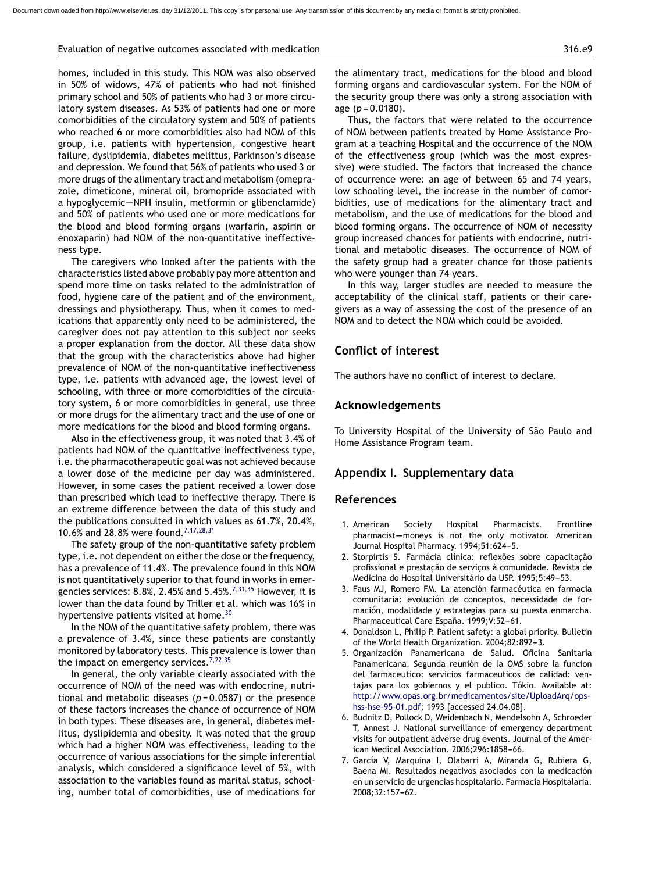#### <span id="page-8-0"></span>Evaluation of negative outcomes associated with medication 316.e9

homes, included in this study. This NOM was also observed in 50% of widows, 47% of patients who had not finished primary school and 50% of patients who had 3 or more circulatory system diseases. As 53% of patients had one or more comorbidities of the circulatory system and 50% of patients who reached 6 or more comorbidities also had NOM of this group, i.e. patients with hypertension, congestive heart failure, dyslipidemia, diabetes melittus, Parkinson's disease and depression. We found that 56% of patients who used 3 or more drugs of the alimentary tract and metabolism (omeprazole, dimeticone, mineral oil, bromopride associated with a hypoglycemic-NPH insulin, metformin or glibenclamide) and 50% of patients who used one or more medications for the blood and blood forming organs (warfarin, aspirin or enoxaparin) had NOM of the non-quantitative ineffectiveness type.

The caregivers who looked after the patients with the characteristics listed above probably pay more attention and spend more time on tasks related to the administration of food, hygiene care of the patient and of the environment, dressings and physiotherapy. Thus, when it comes to medications that apparently only need to be administered, the caregiver does not pay attention to this subject nor seeks a proper explanation from the doctor. All these data show that the group with the characteristics above had higher prevalence of NOM of the non-quantitative ineffectiveness type, i.e. patients with advanced age, the lowest level of schooling, with three or more comorbidities of the circulatory system, 6 or more comorbidities in general, use three or more drugs for the alimentary tract and the use of one or more medications for the blood and blood forming organs.

Also in the effectiveness group, it was noted that 3.4% of patients had NOM of the quantitative ineffectiveness type, i.e. the pharmacotherapeutic goal was not achieved because a lower dose of the medicine per day was administered. However, in some cases the patient received a lower dose than prescribed which lead to ineffective therapy. There is an extreme difference between the data of this study and the publications consulted in which values as 61.7%, 20.4%, 10.6% and 28.8% were found.7,17,28,31

The safety group of the non-quantitative safety problem type, i.e. not dependent on either the dose or the frequency, has a prevalence of 11.4%. The prevalence found in this NOM is not quantitatively superior to that found in works in emergencies services: 8.8%, 2.45% and 5.45%.<sup>7,31,35</sup> However, it is lower than the data found by Triller et al. which was 16% in hypertensive patients visited at home.<sup>[30](#page-9-0)</sup>

In the NOM of the quantitative safety problem, there was a prevalence of 3.4%, since these patients are constantly monitored by laboratory tests. This prevalence is lower than the impact on emergency services.<sup>7,22,35</sup>

In general, the only variable clearly associated with the occurrence of NOM of the need was with endocrine, nutritional and metabolic diseases  $(p = 0.0587)$  or the presence of these factors increases the chance of occurrence of NOM in both types. These diseases are, in general, diabetes mellitus, dyslipidemia and obesity. It was noted that the group which had a higher NOM was effectiveness, leading to the occurrence of various associations for the simple inferential analysis, which considered a significance level of 5%, with association to the variables found as marital status, schooling, number total of comorbidities, use of medications for

the alimentary tract, medications for the blood and blood forming organs and cardiovascular system. For the NOM of the security group there was only a strong association with age (*p* = 0.0180).

Thus, the factors that were related to the occurrence of NOM between patients treated by Home Assistance Program at a teaching Hospital and the occurrence of the NOM of the effectiveness group (which was the most expressive) were studied. The factors that increased the chance of occurrence were: an age of between 65 and 74 years, low schooling level, the increase in the number of comorbidities, use of medications for the alimentary tract and metabolism, and the use of medications for the blood and blood forming organs. The occurrence of NOM of necessity group increased chances for patients with endocrine, nutritional and metabolic diseases. The occurrence of NOM of the safety group had a greater chance for those patients who were younger than 74 years.

In this way, larger studies are needed to measure the acceptability of the clinical staff, patients or their caregivers as a way of assessing the cost of the presence of an NOM and to detect the NOM which could be avoided.

# **Conflict of interest**

The authors have no conflict of interest to declare.

#### **Acknowledgements**

To University Hospital of the University of São Paulo and Home Assistance Program team.

#### **Appendix I. Supplementary data**

# **References**

- 1. American Society Hospital Pharmacists. Frontline pharmacist--moneys is not the only motivator. American Journal Hospital Pharmacy. 1994;51:624-5.
- 2. Storpirtis S. Farmácia clínica: reflexões sobre capacitação profissional e prestação de serviços à comunidade. Revista de Medicina do Hospital Universitário da USP. 1995;5:49-53.
- 3. Faus MJ, Romero FM. La atención farmacéutica en farmacia comunitaria: evolución de conceptos, necessidade de formación, modalidade y estrategias para su puesta enmarcha. Pharmaceutical Care España. 1999; V:52-61.
- 4. Donaldson L, Philip P. Patient safety: a global priority. Bulletin of the World Health Organization. 2004;82:892-3.
- 5. Organización Panamericana de Salud. Oficina Sanitaria Panamericana. Segunda reunión de la OMS sobre la funcion del farmaceutico: servicios farmaceuticos de calidad: ventajas para los gobiernos y el publico. Tókio. Available at: [http://www.opas.org.br/medicamentos/site/UploadArq/ops](http://www.opas.org.br/medicamentos/site/UploadArq/ops-hss-hse-95-01.pdf)hss-hse-95-01.pdf; 1993 [accessed 24.04.08].
- 6. Budnitz D, Pollock D, Weidenbach N, Mendelsohn A, Schroeder T, Annest J. National surveillance of emergency department visits for outpatient adverse drug events. Journal of the American Medical Association. 2006;296:1858-66.
- 7. García V, Marquina I, Olabarri A, Miranda G, Rubiera G, Baena MI. Resultados negativos asociados con la medicación en un servicio de urgencias hospitalario. Farmacia Hospitalaria. 2008;32:157-62.